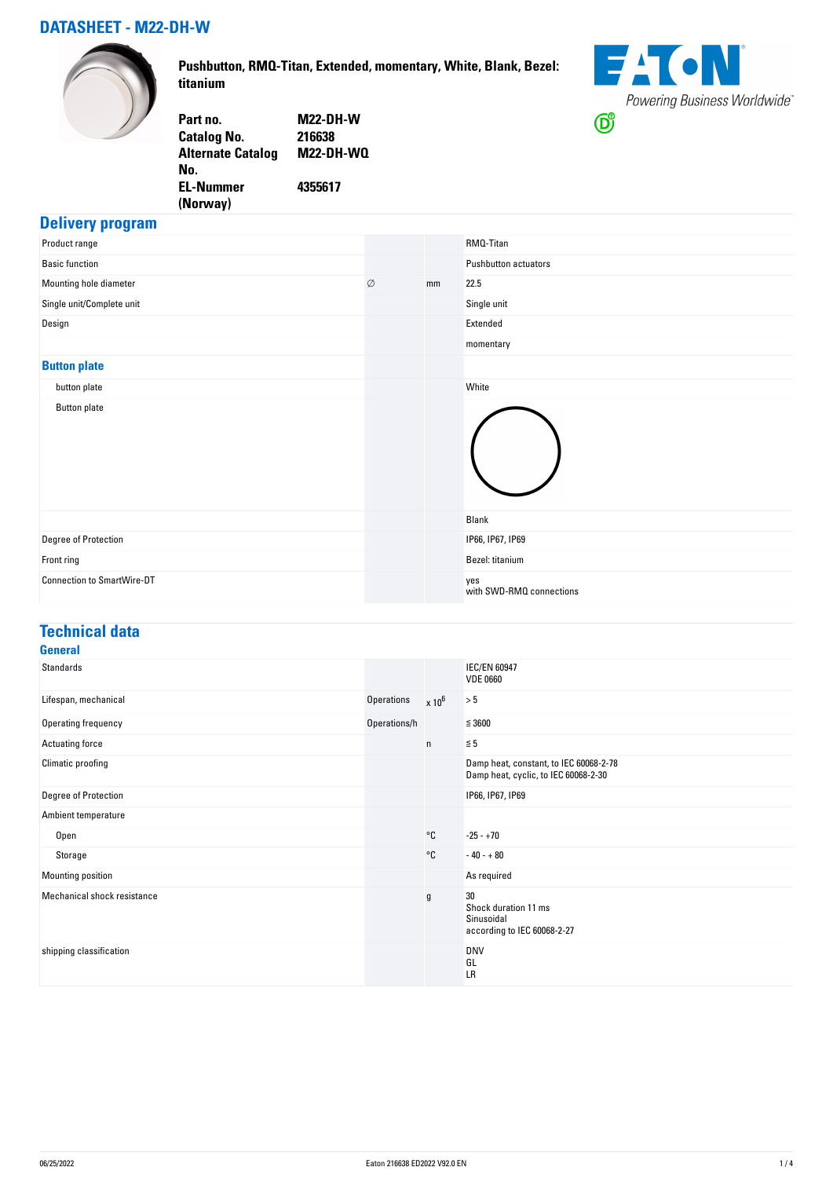#### **DATASHEET - M22-DH-W**



**Pushbutton, RMQ-Titan, Extended, momentary, White, Blank, Bezel: titanium**



| Part no.                 | <b>M22-DH-W</b>  |
|--------------------------|------------------|
| <b>Catalog No.</b>       | 216638           |
| <b>Alternate Catalog</b> | <b>M22-DH-WQ</b> |
| No.                      |                  |
| <b>EL-Nummer</b>         | 4355617          |
| (Norway)                 |                  |
|                          |                  |

#### **Delivery program**

| Product range                     |   |    | RMQ-Titan                       |
|-----------------------------------|---|----|---------------------------------|
| <b>Basic function</b>             |   |    | Pushbutton actuators            |
| Mounting hole diameter            | Ø | mm | 22.5                            |
| Single unit/Complete unit         |   |    | Single unit                     |
| Design                            |   |    | Extended                        |
|                                   |   |    | momentary                       |
| <b>Button plate</b>               |   |    |                                 |
| button plate                      |   |    | White                           |
| <b>Button plate</b>               |   |    |                                 |
|                                   |   |    | Blank                           |
| Degree of Protection              |   |    | IP66, IP67, IP69                |
| Front ring                        |   |    | Bezel: titanium                 |
| <b>Connection to SmartWire-DT</b> |   |    | yes<br>with SWD-RMQ connections |

## **Technical data**

| <b>General</b>              |              |          |                                                                                |
|-----------------------------|--------------|----------|--------------------------------------------------------------------------------|
| Standards                   |              |          | <b>IEC/EN 60947</b><br><b>VDE 0660</b>                                         |
| Lifespan, mechanical        | Operations   | $x 10^6$ | > 5                                                                            |
| Operating frequency         | Operations/h |          | $\leq 3600$                                                                    |
| Actuating force             |              | n        | $\leq 5$                                                                       |
| Climatic proofing           |              |          | Damp heat, constant, to IEC 60068-2-78<br>Damp heat, cyclic, to IEC 60068-2-30 |
| Degree of Protection        |              |          | IP66, IP67, IP69                                                               |
| Ambient temperature         |              |          |                                                                                |
| Open                        |              | °C       | $-25 - +70$                                                                    |
| Storage                     |              | °C       | $-40 - +80$                                                                    |
| Mounting position           |              |          | As required                                                                    |
| Mechanical shock resistance |              | g        | 30<br>Shock duration 11 ms<br>Sinusoidal<br>according to IEC 60068-2-27        |
| shipping classification     |              |          | <b>DNV</b><br>GL<br>LR                                                         |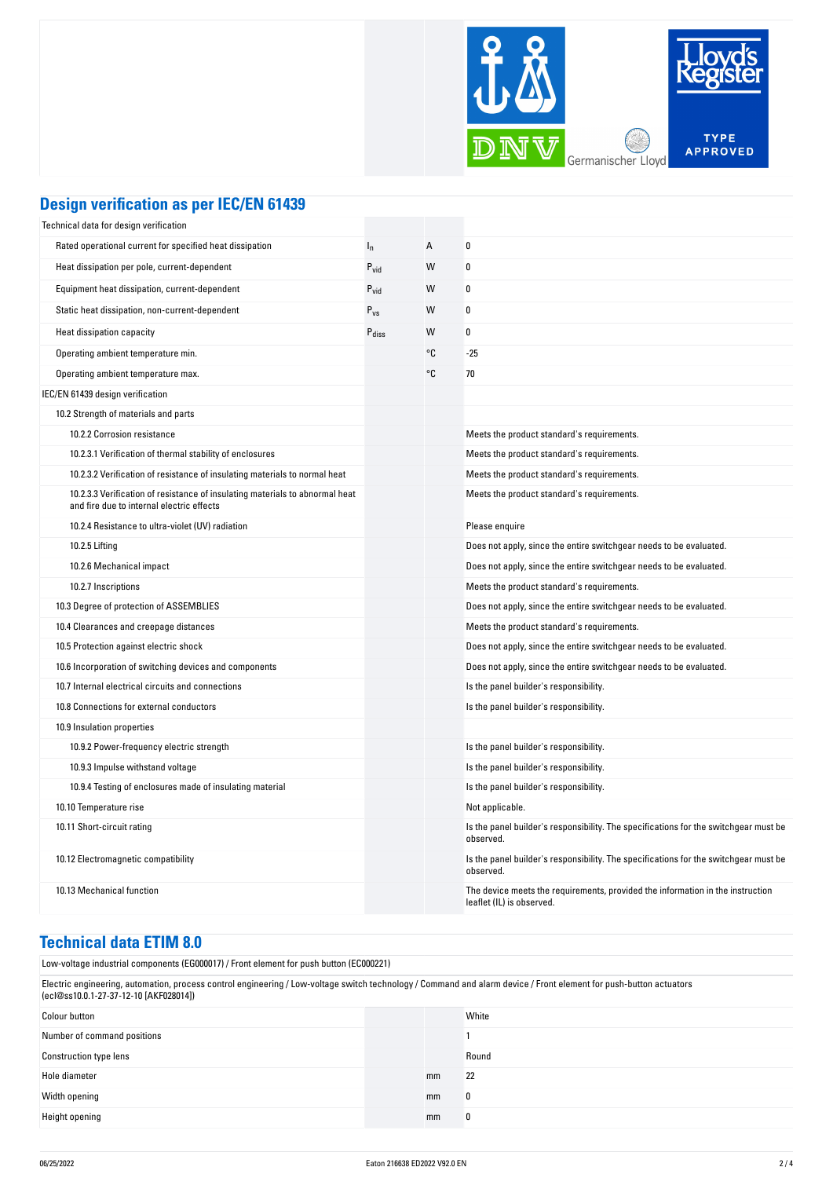

## **Design verification as per IEC/EN 61439**

| Technical data for design verification                                                                                    |                   |    |                                                                                                             |
|---------------------------------------------------------------------------------------------------------------------------|-------------------|----|-------------------------------------------------------------------------------------------------------------|
| Rated operational current for specified heat dissipation                                                                  | $I_n$             | A  | 0                                                                                                           |
| Heat dissipation per pole, current-dependent                                                                              | $P_{\text{vid}}$  | W  | 0                                                                                                           |
| Equipment heat dissipation, current-dependent                                                                             | $P_{vid}$         | W  | $\boldsymbol{0}$                                                                                            |
| Static heat dissipation, non-current-dependent                                                                            | $P_{VS}$          | W  | 0                                                                                                           |
| Heat dissipation capacity                                                                                                 | $P_{\text{diss}}$ | W  | 0                                                                                                           |
| Operating ambient temperature min.                                                                                        |                   | °C | $-25$                                                                                                       |
| Operating ambient temperature max.                                                                                        |                   | °C | 70                                                                                                          |
| IEC/EN 61439 design verification                                                                                          |                   |    |                                                                                                             |
| 10.2 Strength of materials and parts                                                                                      |                   |    |                                                                                                             |
| 10.2.2 Corrosion resistance                                                                                               |                   |    | Meets the product standard's requirements.                                                                  |
| 10.2.3.1 Verification of thermal stability of enclosures                                                                  |                   |    | Meets the product standard's requirements.                                                                  |
| 10.2.3.2 Verification of resistance of insulating materials to normal heat                                                |                   |    | Meets the product standard's requirements.                                                                  |
| 10.2.3.3 Verification of resistance of insulating materials to abnormal heat<br>and fire due to internal electric effects |                   |    | Meets the product standard's requirements.                                                                  |
| 10.2.4 Resistance to ultra-violet (UV) radiation                                                                          |                   |    | Please enquire                                                                                              |
| 10.2.5 Lifting                                                                                                            |                   |    | Does not apply, since the entire switchgear needs to be evaluated.                                          |
| 10.2.6 Mechanical impact                                                                                                  |                   |    | Does not apply, since the entire switchgear needs to be evaluated.                                          |
| 10.2.7 Inscriptions                                                                                                       |                   |    | Meets the product standard's requirements.                                                                  |
| 10.3 Degree of protection of ASSEMBLIES                                                                                   |                   |    | Does not apply, since the entire switchgear needs to be evaluated.                                          |
| 10.4 Clearances and creepage distances                                                                                    |                   |    | Meets the product standard's requirements.                                                                  |
| 10.5 Protection against electric shock                                                                                    |                   |    | Does not apply, since the entire switchgear needs to be evaluated.                                          |
| 10.6 Incorporation of switching devices and components                                                                    |                   |    | Does not apply, since the entire switchgear needs to be evaluated.                                          |
| 10.7 Internal electrical circuits and connections                                                                         |                   |    | Is the panel builder's responsibility.                                                                      |
| 10.8 Connections for external conductors                                                                                  |                   |    | Is the panel builder's responsibility.                                                                      |
| 10.9 Insulation properties                                                                                                |                   |    |                                                                                                             |
| 10.9.2 Power-frequency electric strength                                                                                  |                   |    | Is the panel builder's responsibility.                                                                      |
| 10.9.3 Impulse withstand voltage                                                                                          |                   |    | Is the panel builder's responsibility.                                                                      |
| 10.9.4 Testing of enclosures made of insulating material                                                                  |                   |    | Is the panel builder's responsibility.                                                                      |
| 10.10 Temperature rise                                                                                                    |                   |    | Not applicable.                                                                                             |
| 10.11 Short-circuit rating                                                                                                |                   |    | Is the panel builder's responsibility. The specifications for the switchgear must be<br>observed.           |
| 10.12 Electromagnetic compatibility                                                                                       |                   |    | Is the panel builder's responsibility. The specifications for the switchgear must be<br>observed.           |
| 10.13 Mechanical function                                                                                                 |                   |    | The device meets the requirements, provided the information in the instruction<br>leaflet (IL) is observed. |

#### **Technical data ETIM 8.0**

Low-voltage industrial components (EG000017) / Front element for push button (EC000221)

Electric engineering, automation, process control engineering / Low-voltage switch technology / Command and alarm device / Front element for push-button actuators (ecl@ss10.0.1-27-37-12-10 [AKF028014])

| Colour button                 |    | White |
|-------------------------------|----|-------|
| Number of command positions   |    |       |
| <b>Construction type lens</b> |    | Round |
| Hole diameter                 | mm | 22    |
| Width opening                 | mm | 0     |
| Height opening                | mm | 0     |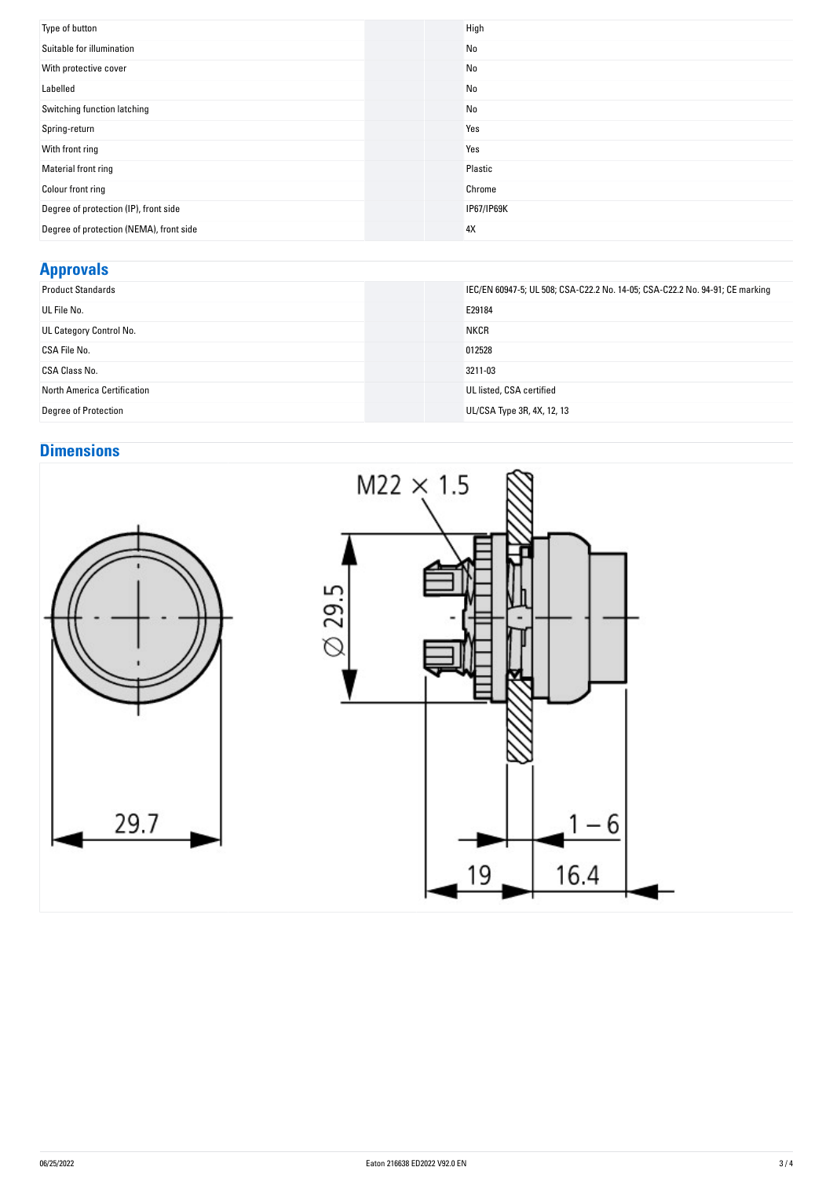| Type of button                          | High       |
|-----------------------------------------|------------|
| Suitable for illumination               | No         |
| With protective cover                   | No         |
| Labelled                                | No         |
| Switching function latching             | No         |
| Spring-return                           | Yes        |
| With front ring                         | Yes        |
| Material front ring                     | Plastic    |
| Colour front ring                       | Chrome     |
| Degree of protection (IP), front side   | IP67/IP69K |
| Degree of protection (NEMA), front side | 4X         |

## **Approvals**

| <b>Product Standards</b>    | IEC/EN 60947-5; UL 508; CSA-C22.2 No. 14-05; CSA-C22.2 No. 94-91; CE marking |
|-----------------------------|------------------------------------------------------------------------------|
| UL File No.                 | E29184                                                                       |
| UL Category Control No.     | <b>NKCR</b>                                                                  |
| CSA File No.                | 012528                                                                       |
| CSA Class No.               | 3211-03                                                                      |
| North America Certification | UL listed, CSA certified                                                     |
| <b>Degree of Protection</b> | UL/CSA Type 3R, 4X, 12, 13                                                   |

# **Dimensions**